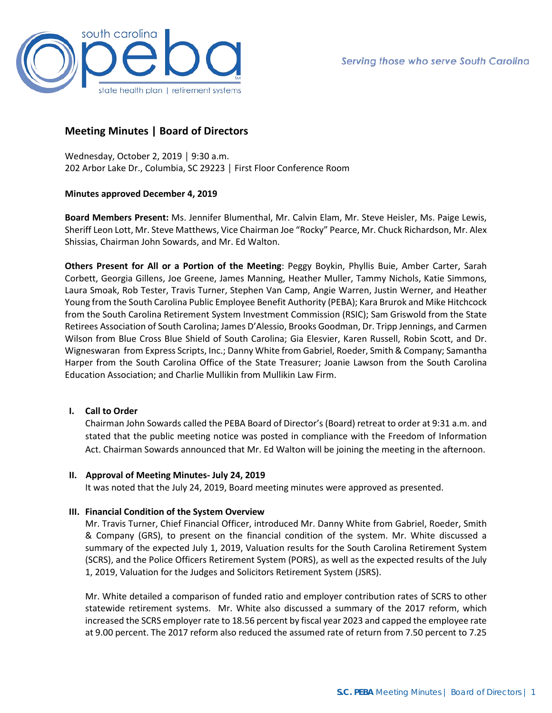

## **Meeting Minutes | Board of Directors**

Wednesday, October 2, 2019 │ 9:30 a.m. 202 Arbor Lake Dr., Columbia, SC 29223 │ First Floor Conference Room

#### **Minutes approved December 4, 2019**

**Board Members Present:** Ms. Jennifer Blumenthal, Mr. Calvin Elam, Mr. Steve Heisler, Ms. Paige Lewis, Sheriff Leon Lott, Mr. Steve Matthews, Vice Chairman Joe "Rocky" Pearce, Mr. Chuck Richardson, Mr. Alex Shissias, Chairman John Sowards, and Mr. Ed Walton.

**Others Present for All or a Portion of the Meeting**: Peggy Boykin, Phyllis Buie, Amber Carter, Sarah Corbett, Georgia Gillens, Joe Greene, James Manning, Heather Muller, Tammy Nichols, Katie Simmons, Laura Smoak, Rob Tester, Travis Turner, Stephen Van Camp, Angie Warren, Justin Werner, and Heather Young from the South Carolina Public Employee Benefit Authority (PEBA); Kara Brurok and Mike Hitchcock from the South Carolina Retirement System Investment Commission (RSIC); Sam Griswold from the State Retirees Association of South Carolina; James D'Alessio, Brooks Goodman, Dr. Tripp Jennings, and Carmen Wilson from Blue Cross Blue Shield of South Carolina; Gia Elesvier, Karen Russell, Robin Scott, and Dr. Wigneswaran from Express Scripts, Inc.; Danny White from Gabriel, Roeder, Smith & Company; Samantha Harper from the South Carolina Office of the State Treasurer; Joanie Lawson from the South Carolina Education Association; and Charlie Mullikin from Mullikin Law Firm.

## **I. Call to Order**

Chairman John Sowards called the PEBA Board of Director's (Board) retreat to order at 9:31 a.m. and stated that the public meeting notice was posted in compliance with the Freedom of Information Act. Chairman Sowards announced that Mr. Ed Walton will be joining the meeting in the afternoon.

#### **II. Approval of Meeting Minutes- July 24, 2019**

It was noted that the July 24, 2019, Board meeting minutes were approved as presented.

## **III. Financial Condition of the System Overview**

Mr. Travis Turner, Chief Financial Officer, introduced Mr. Danny White from Gabriel, Roeder, Smith & Company (GRS), to present on the financial condition of the system. Mr. White discussed a summary of the expected July 1, 2019, Valuation results for the South Carolina Retirement System (SCRS), and the Police Officers Retirement System (PORS), as well as the expected results of the July 1, 2019, Valuation for the Judges and Solicitors Retirement System (JSRS).

Mr. White detailed a comparison of funded ratio and employer contribution rates of SCRS to other statewide retirement systems. Mr. White also discussed a summary of the 2017 reform, which increased the SCRS employer rate to 18.56 percent by fiscal year 2023 and capped the employee rate at 9.00 percent. The 2017 reform also reduced the assumed rate of return from 7.50 percent to 7.25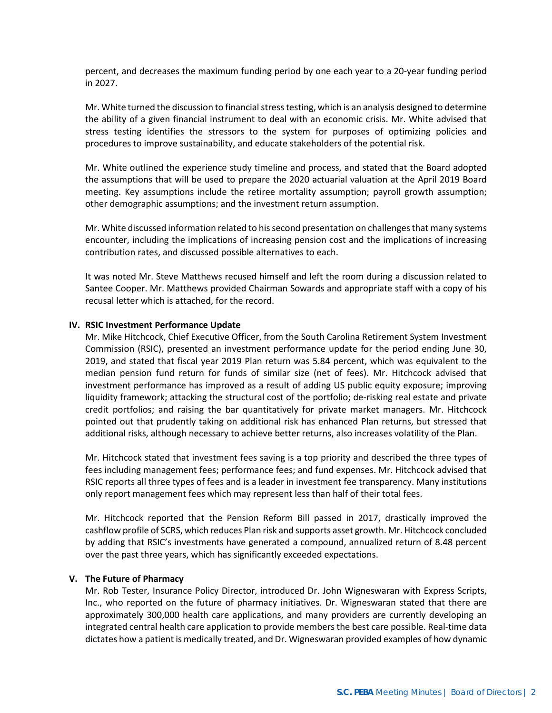percent, and decreases the maximum funding period by one each year to a 20-year funding period in 2027.

Mr. White turned the discussion to financial stress testing, which is an analysis designed to determine the ability of a given financial instrument to deal with an economic crisis. Mr. White advised that stress testing identifies the stressors to the system for purposes of optimizing policies and procedures to improve sustainability, and educate stakeholders of the potential risk.

Mr. White outlined the experience study timeline and process, and stated that the Board adopted the assumptions that will be used to prepare the 2020 actuarial valuation at the April 2019 Board meeting. Key assumptions include the retiree mortality assumption; payroll growth assumption; other demographic assumptions; and the investment return assumption.

Mr. White discussed information related to his second presentation on challenges that many systems encounter, including the implications of increasing pension cost and the implications of increasing contribution rates, and discussed possible alternatives to each.

It was noted Mr. Steve Matthews recused himself and left the room during a discussion related to Santee Cooper. Mr. Matthews provided Chairman Sowards and appropriate staff with a copy of his recusal letter which is attached, for the record.

#### **IV. RSIC Investment Performance Update**

Mr. Mike Hitchcock, Chief Executive Officer, from the South Carolina Retirement System Investment Commission (RSIC), presented an investment performance update for the period ending June 30, 2019, and stated that fiscal year 2019 Plan return was 5.84 percent, which was equivalent to the median pension fund return for funds of similar size (net of fees). Mr. Hitchcock advised that investment performance has improved as a result of adding US public equity exposure; improving liquidity framework; attacking the structural cost of the portfolio; de-risking real estate and private credit portfolios; and raising the bar quantitatively for private market managers. Mr. Hitchcock pointed out that prudently taking on additional risk has enhanced Plan returns, but stressed that additional risks, although necessary to achieve better returns, also increases volatility of the Plan.

Mr. Hitchcock stated that investment fees saving is a top priority and described the three types of fees including management fees; performance fees; and fund expenses. Mr. Hitchcock advised that RSIC reports all three types of fees and is a leader in investment fee transparency. Many institutions only report management fees which may represent less than half of their total fees.

Mr. Hitchcock reported that the Pension Reform Bill passed in 2017, drastically improved the cashflow profile of SCRS, which reduces Plan risk and supports asset growth. Mr. Hitchcock concluded by adding that RSIC's investments have generated a compound, annualized return of 8.48 percent over the past three years, which has significantly exceeded expectations.

#### **V. The Future of Pharmacy**

Mr. Rob Tester, Insurance Policy Director, introduced Dr. John Wigneswaran with Express Scripts, Inc., who reported on the future of pharmacy initiatives. Dr. Wigneswaran stated that there are approximately 300,000 health care applications, and many providers are currently developing an integrated central health care application to provide members the best care possible. Real-time data dictates how a patient is medically treated, and Dr. Wigneswaran provided examples of how dynamic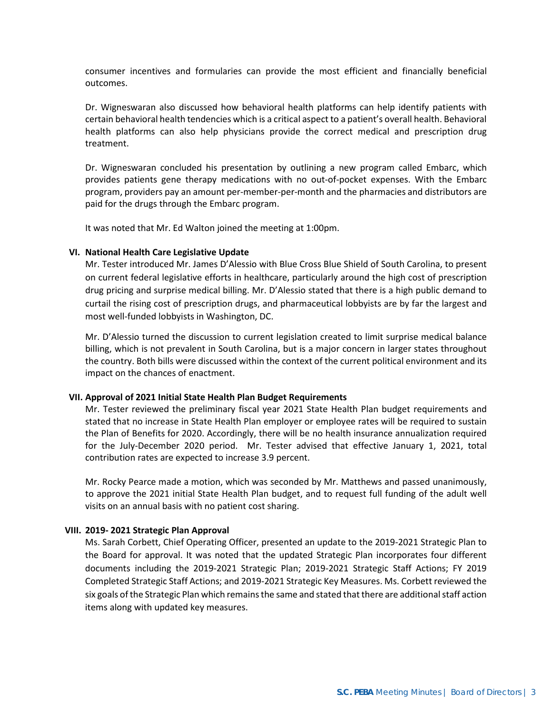consumer incentives and formularies can provide the most efficient and financially beneficial outcomes.

Dr. Wigneswaran also discussed how behavioral health platforms can help identify patients with certain behavioral health tendencies which is a critical aspect to a patient's overall health. Behavioral health platforms can also help physicians provide the correct medical and prescription drug treatment.

Dr. Wigneswaran concluded his presentation by outlining a new program called Embarc, which provides patients gene therapy medications with no out-of-pocket expenses. With the Embarc program, providers pay an amount per-member-per-month and the pharmacies and distributors are paid for the drugs through the Embarc program.

It was noted that Mr. Ed Walton joined the meeting at 1:00pm.

#### **VI. National Health Care Legislative Update**

Mr. Tester introduced Mr. James D'Alessio with Blue Cross Blue Shield of South Carolina, to present on current federal legislative efforts in healthcare, particularly around the high cost of prescription drug pricing and surprise medical billing. Mr. D'Alessio stated that there is a high public demand to curtail the rising cost of prescription drugs, and pharmaceutical lobbyists are by far the largest and most well-funded lobbyists in Washington, DC.

Mr. D'Alessio turned the discussion to current legislation created to limit surprise medical balance billing, which is not prevalent in South Carolina, but is a major concern in larger states throughout the country. Both bills were discussed within the context of the current political environment and its impact on the chances of enactment.

#### **VII. Approval of 2021 Initial State Health Plan Budget Requirements**

Mr. Tester reviewed the preliminary fiscal year 2021 State Health Plan budget requirements and stated that no increase in State Health Plan employer or employee rates will be required to sustain the Plan of Benefits for 2020. Accordingly, there will be no health insurance annualization required for the July-December 2020 period. Mr. Tester advised that effective January 1, 2021, total contribution rates are expected to increase 3.9 percent.

Mr. Rocky Pearce made a motion, which was seconded by Mr. Matthews and passed unanimously, to approve the 2021 initial State Health Plan budget, and to request full funding of the adult well visits on an annual basis with no patient cost sharing.

#### **VIII. 2019- 2021 Strategic Plan Approval**

Ms. Sarah Corbett, Chief Operating Officer, presented an update to the 2019-2021 Strategic Plan to the Board for approval. It was noted that the updated Strategic Plan incorporates four different documents including the 2019-2021 Strategic Plan; 2019-2021 Strategic Staff Actions; FY 2019 Completed Strategic Staff Actions; and 2019-2021 Strategic Key Measures. Ms. Corbett reviewed the six goals of the Strategic Plan which remains the same and stated that there are additional staff action items along with updated key measures.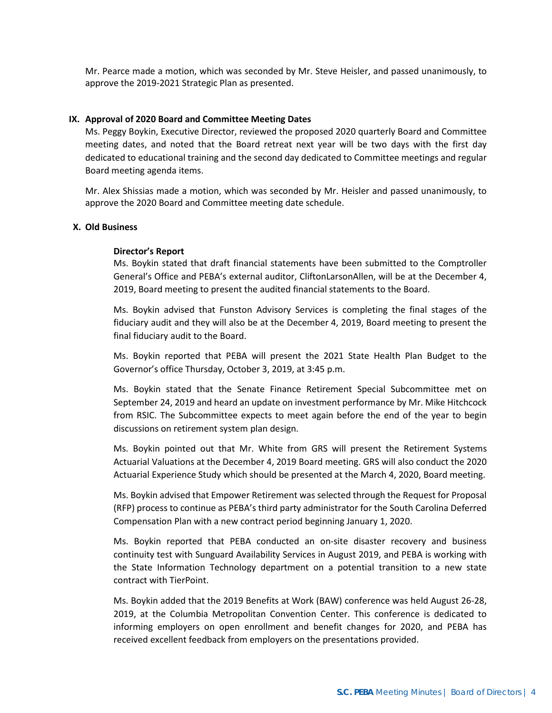Mr. Pearce made a motion, which was seconded by Mr. Steve Heisler, and passed unanimously, to approve the 2019-2021 Strategic Plan as presented.

#### **IX. Approval of 2020 Board and Committee Meeting Dates**

Ms. Peggy Boykin, Executive Director, reviewed the proposed 2020 quarterly Board and Committee meeting dates, and noted that the Board retreat next year will be two days with the first day dedicated to educational training and the second day dedicated to Committee meetings and regular Board meeting agenda items.

Mr. Alex Shissias made a motion, which was seconded by Mr. Heisler and passed unanimously, to approve the 2020 Board and Committee meeting date schedule.

## **X. Old Business**

#### **Director's Report**

Ms. Boykin stated that draft financial statements have been submitted to the Comptroller General's Office and PEBA's external auditor, CliftonLarsonAllen, will be at the December 4, 2019, Board meeting to present the audited financial statements to the Board.

Ms. Boykin advised that Funston Advisory Services is completing the final stages of the fiduciary audit and they will also be at the December 4, 2019, Board meeting to present the final fiduciary audit to the Board.

Ms. Boykin reported that PEBA will present the 2021 State Health Plan Budget to the Governor's office Thursday, October 3, 2019, at 3:45 p.m.

Ms. Boykin stated that the Senate Finance Retirement Special Subcommittee met on September 24, 2019 and heard an update on investment performance by Mr. Mike Hitchcock from RSIC. The Subcommittee expects to meet again before the end of the year to begin discussions on retirement system plan design.

Ms. Boykin pointed out that Mr. White from GRS will present the Retirement Systems Actuarial Valuations at the December 4, 2019 Board meeting. GRS will also conduct the 2020 Actuarial Experience Study which should be presented at the March 4, 2020, Board meeting.

Ms. Boykin advised that Empower Retirement was selected through the Request for Proposal (RFP) process to continue as PEBA's third party administrator for the South Carolina Deferred Compensation Plan with a new contract period beginning January 1, 2020.

Ms. Boykin reported that PEBA conducted an on-site disaster recovery and business continuity test with Sunguard Availability Services in August 2019, and PEBA is working with the State Information Technology department on a potential transition to a new state contract with TierPoint.

Ms. Boykin added that the 2019 Benefits at Work (BAW) conference was held August 26-28, 2019, at the Columbia Metropolitan Convention Center. This conference is dedicated to informing employers on open enrollment and benefit changes for 2020, and PEBA has received excellent feedback from employers on the presentations provided.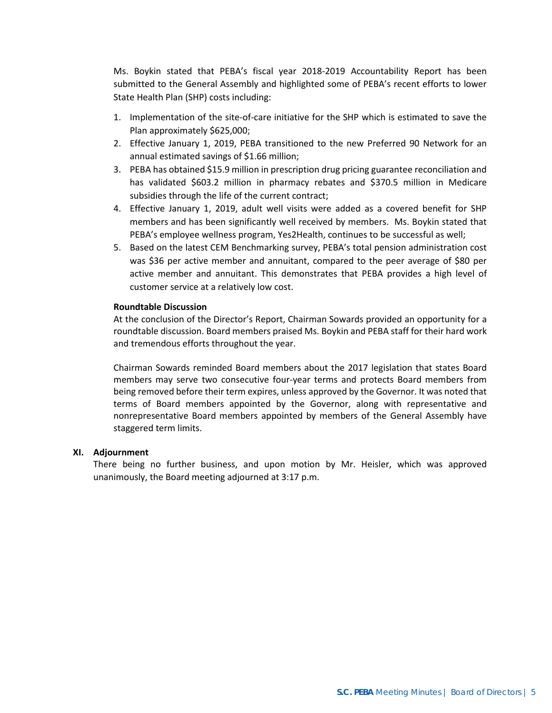Ms. Boykin stated that PEBA's fiscal year 2018-2019 Accountability Report has been submitted to the General Assembly and highlighted some of PEBA's recent efforts to lower State Health Plan (SHP) costs including:

- 1. Implementation of the site-of-care initiative for the SHP which is estimated to save the Plan approximately \$625,000;
- 2. Effective January 1, 2019, PEBA transitioned to the new Preferred 90 Network for an annual estimated savings of \$1.66 million;
- 3. PEBA has obtained \$15.9 million in prescription drug pricing guarantee reconciliation and has validated \$603.2 million in pharmacy rebates and \$370.5 million in Medicare subsidies through the life of the current contract;
- 4. Effective January 1, 2019, adult well visits were added as a covered benefit for SHP members and has been significantly well received by members. Ms. Boykin stated that PEBA's employee wellness program, Yes2Health, continues to be successful as well;
- 5. Based on the latest CEM Benchmarking survey, PEBA's total pension administration cost was \$36 per active member and annuitant, compared to the peer average of \$80 per active member and annuitant. This demonstrates that PEBA provides a high level of customer service at a relatively low cost.

## **Roundtable Discussion**

At the conclusion of the Director's Report, Chairman Sowards provided an opportunity for a roundtable discussion. Board members praised Ms. Boykin and PEBA staff for their hard work and tremendous efforts throughout the year.

Chairman Sowards reminded Board members about the 2017 legislation that states Board members may serve two consecutive four-year terms and protects Board members from being removed before their term expires, unless approved by the Governor. It was noted that terms of Board members appointed by the Governor, along with representative and nonrepresentative Board members appointed by members of the General Assembly have staggered term limits.

#### **XI. Adjournment**

There being no further business, and upon motion by Mr. Heisler, which was approved unanimously, the Board meeting adjourned at 3:17 p.m.